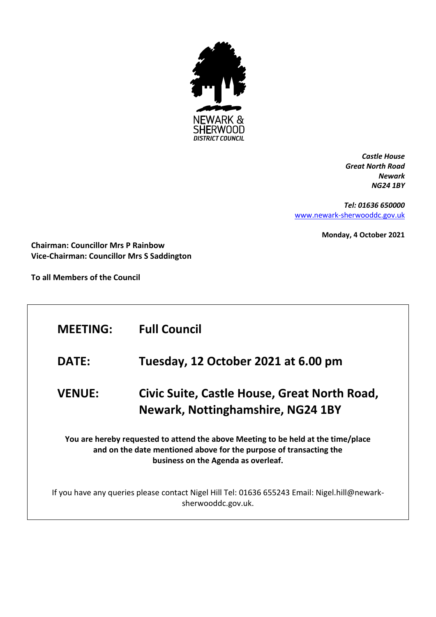

*Castle House Great North Road Newark NG24 1BY*

*Tel: 01636 650000* [www.newark-sherwooddc.gov.uk](http://www.newark-sherwooddc.gov.uk/)

**Monday, 4 October 2021**

**Chairman: Councillor Mrs P Rainbow Vice-Chairman: Councillor Mrs S Saddington**

**To all Members of the Council**

| Tuesday, 12 October 2021 at 6.00 pm<br><b>DATE:</b><br>Civic Suite, Castle House, Great North Road,<br><b>VENUE:</b><br><b>Newark, Nottinghamshire, NG24 1BY</b><br>You are hereby requested to attend the above Meeting to be held at the time/place<br>and on the date mentioned above for the purpose of transacting the<br>business on the Agenda as overleaf. | <b>MEETING:</b> | <b>Full Council</b> |
|--------------------------------------------------------------------------------------------------------------------------------------------------------------------------------------------------------------------------------------------------------------------------------------------------------------------------------------------------------------------|-----------------|---------------------|
|                                                                                                                                                                                                                                                                                                                                                                    |                 |                     |
|                                                                                                                                                                                                                                                                                                                                                                    |                 |                     |
|                                                                                                                                                                                                                                                                                                                                                                    |                 |                     |
| If you have any queries please contact Nigel Hill Tel: 01636 655243 Email: Nigel.hill@newark-<br>sherwooddc.gov.uk.                                                                                                                                                                                                                                                |                 |                     |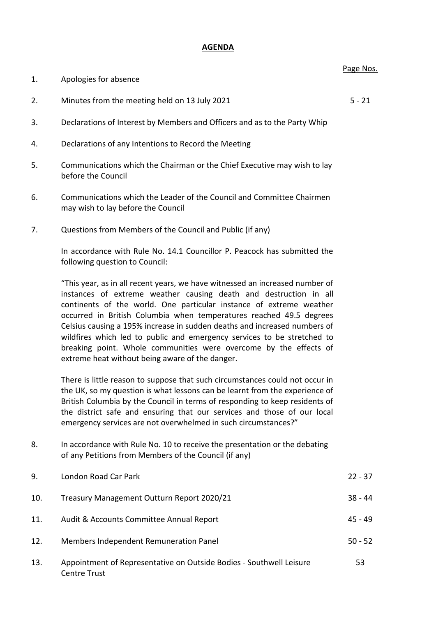## **AGENDA**

| 8.  | In accordance with Rule No. 10 to receive the presentation or the debating<br>of any Petitions from Members of the Council (if any) |           |
|-----|-------------------------------------------------------------------------------------------------------------------------------------|-----------|
| 9.  | London Road Car Park                                                                                                                | $22 - 37$ |
| 10. | Treasury Management Outturn Report 2020/21                                                                                          | $38 - 44$ |
| 11. | Audit & Accounts Committee Annual Report                                                                                            | $45 - 49$ |
| 12. | Members Independent Remuneration Panel                                                                                              | $50 - 52$ |
| 13. | Appointment of Representative on Outside Bodies - Southwell Leisure<br><b>Centre Trust</b>                                          | 53        |

## 1. Apologies for absence

- 2. Minutes from the meeting held on 13 July 2021 5 21
- 3. Declarations of Interest by Members and Officers and as to the Party Whip
- 4. Declarations of any Intentions to Record the Meeting
- 5. Communications which the Chairman or the Chief Executive may wish to lay before the Council
- 6. Communications which the Leader of the Council and Committee Chairmen may wish to lay before the Council
- 7. Questions from Members of the Council and Public (if any)

In accordance with Rule No. 14.1 Councillor P. Peacock has submitted the following question to Council:

"This year, as in all recent years, we have witnessed an increased number of instances of extreme weather causing death and destruction in all continents of the world. One particular instance of extreme weather occurred in British Columbia when temperatures reached 49.5 degrees Celsius causing a 195% increase in sudden deaths and increased numbers of wildfires which led to public and emergency services to be stretched to breaking point. Whole communities were overcome by the effects of extreme heat without being aware of the danger.

There is little reason to suppose that such circumstances could not occur in the UK, so my question is what lessons can be learnt from the experience of British Columbia by the Council in terms of responding to keep residents of the district safe and ensuring that our services and those of our local emergency services are not overwhelmed in such circumstances?"

Page Nos.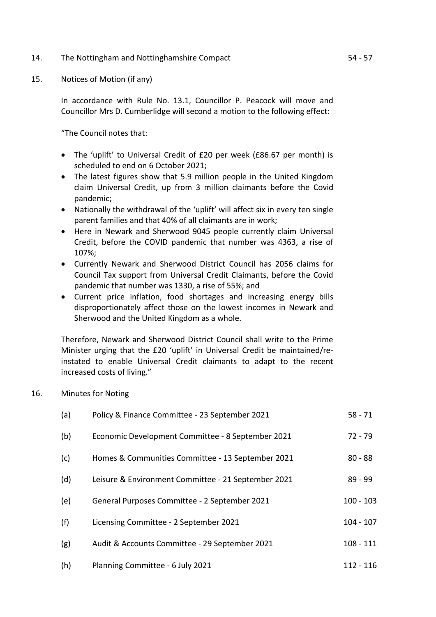- 14. The Nottingham and Nottinghamshire Compact 14. Separation of the S4 57
- 15. Notices of Motion (if any)

In accordance with Rule No. 13.1, Councillor P. Peacock will move and Councillor Mrs D. Cumberlidge will second a motion to the following effect:

"The Council notes that:

- The 'uplift' to Universal Credit of £20 per week (£86.67 per month) is scheduled to end on 6 October 2021;
- The latest figures show that 5.9 million people in the United Kingdom claim Universal Credit, up from 3 million claimants before the Covid pandemic;
- Nationally the withdrawal of the 'uplift' will affect six in every ten single parent families and that 40% of all claimants are in work;
- Here in Newark and Sherwood 9045 people currently claim Universal Credit, before the COVID pandemic that number was 4363, a rise of 107%;
- Currently Newark and Sherwood District Council has 2056 claims for Council Tax support from Universal Credit Claimants, before the Covid pandemic that number was 1330, a rise of 55%; and
- Current price inflation, food shortages and increasing energy bills disproportionately affect those on the lowest incomes in Newark and Sherwood and the United Kingdom as a whole.

Therefore, Newark and Sherwood District Council shall write to the Prime Minister urging that the £20 'uplift' in Universal Credit be maintained/reinstated to enable Universal Credit claimants to adapt to the recent increased costs of living."

16. Minutes for Noting

| (a) | Policy & Finance Committee - 23 September 2021      | $58 - 71$   |
|-----|-----------------------------------------------------|-------------|
| (b) | Economic Development Committee - 8 September 2021   | $72 - 79$   |
| (c) | Homes & Communities Committee - 13 September 2021   | $80 - 88$   |
| (d) | Leisure & Environment Committee - 21 September 2021 | $89 - 99$   |
| (e) | General Purposes Committee - 2 September 2021       | $100 - 103$ |
| (f) | Licensing Committee - 2 September 2021              | $104 - 107$ |
| (g) | Audit & Accounts Committee - 29 September 2021      | $108 - 111$ |
| (h) | Planning Committee - 6 July 2021                    | $112 - 116$ |